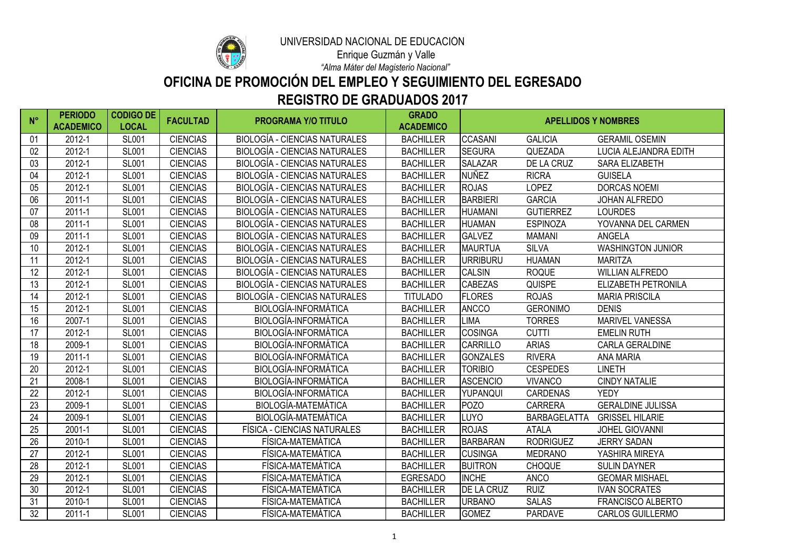| $N^{\circ}$ | <b>PERIODO</b><br><b>ACADEMICO</b> | <b>CODIGO DE</b><br><b>LOCAL</b> | <b>FACULTAD</b> | <b>PROGRAMA Y/O TITULO</b>           | <b>GRADO</b><br><b>ACADEMICO</b> | <b>APELLIDOS Y NOMBRES</b> |                  |                              |
|-------------|------------------------------------|----------------------------------|-----------------|--------------------------------------|----------------------------------|----------------------------|------------------|------------------------------|
| 01          | 2012-1                             | <b>SL001</b>                     | <b>CIENCIAS</b> | <b>BIOLOGÍA - CIENCIAS NATURALES</b> | <b>BACHILLER</b>                 | <b>CCASANI</b>             | <b>GALICIA</b>   | <b>GERAMIL OSEMIN</b>        |
| 02          | 2012-1                             | <b>SL001</b>                     | <b>CIENCIAS</b> | <b>BIOLOGÍA - CIENCIAS NATURALES</b> | <b>BACHILLER</b>                 | <b>SEGURA</b>              | QUEZADA          | <b>LUCIA ALEJANDRA EDITH</b> |
| 03          | 2012-1                             | <b>SL001</b>                     | <b>CIENCIAS</b> | <b>BIOLOGÍA - CIENCIAS NATURALES</b> | <b>BACHILLER</b>                 | <b>SALAZAR</b>             | DE LA CRUZ       | <b>SARA ELIZABETH</b>        |
| 04          | 2012-1                             | <b>SL001</b>                     | <b>CIENCIAS</b> | BIOLOGÍA - CIENCIAS NATURALES        | <b>BACHILLER</b>                 | <b>NUÑEZ</b>               | <b>RICRA</b>     | <b>GUISELA</b>               |
| 05          | 2012-1                             | <b>SL001</b>                     | <b>CIENCIAS</b> | <b>BIOLOGÍA - CIENCIAS NATURALES</b> | <b>BACHILLER</b>                 | <b>ROJAS</b>               | <b>LOPEZ</b>     | <b>DORCAS NOEMI</b>          |
| 06          | $2011 - 1$                         | <b>SL001</b>                     | <b>CIENCIAS</b> | <b>BIOLOGÍA - CIENCIAS NATURALES</b> | <b>BACHILLER</b>                 | <b>BARBIERI</b>            | <b>GARCIA</b>    | <b>JOHAN ALFREDO</b>         |
| 07          | $2011 - 1$                         | <b>SL001</b>                     | <b>CIENCIAS</b> | <b>BIOLOGÍA - CIENCIAS NATURALES</b> | <b>BACHILLER</b>                 | <b>HUAMANI</b>             | <b>GUTIERREZ</b> | <b>LOURDES</b>               |
| 08          | $2011 - 1$                         | <b>SL001</b>                     | <b>CIENCIAS</b> | <b>BIOLOGÍA - CIENCIAS NATURALES</b> | <b>BACHILLER</b>                 | <b>HUAMAN</b>              | <b>ESPINOZA</b>  | YOVANNA DEL CARMEN           |
| 09          | $2011 - 1$                         | <b>SL001</b>                     | <b>CIENCIAS</b> | <b>BIOLOGÍA - CIENCIAS NATURALES</b> | <b>BACHILLER</b>                 | <b>GALVEZ</b>              | <b>MAMANI</b>    | <b>ANGELA</b>                |
| 10          | 2012-1                             | <b>SL001</b>                     | <b>CIENCIAS</b> | <b>BIOLOGÍA - CIENCIAS NATURALES</b> | <b>BACHILLER</b>                 | <b>MAURTUA</b>             | <b>SILVA</b>     | <b>WASHINGTON JUNIOR</b>     |
| 11          | 2012-1                             | <b>SL001</b>                     | <b>CIENCIAS</b> | <b>BIOLOGÍA - CIENCIAS NATURALES</b> | <b>BACHILLER</b>                 | URRIBURU                   | <b>HUAMAN</b>    | <b>MARITZA</b>               |
| 12          | 2012-1                             | <b>SL001</b>                     | <b>CIENCIAS</b> | BIOLOGÍA - CIENCIAS NATURALES        | <b>BACHILLER</b>                 | <b>CALSIN</b>              | <b>ROQUE</b>     | <b>WILLIAN ALFREDO</b>       |
| 13          | 2012-1                             | <b>SL001</b>                     | <b>CIENCIAS</b> | <b>BIOLOGÍA - CIENCIAS NATURALES</b> | <b>BACHILLER</b>                 | <b>CABEZAS</b>             | <b>QUISPE</b>    | <b>ELIZABETH PETRONILA</b>   |
| 14          | 2012-1                             | <b>SL001</b>                     | <b>CIENCIAS</b> | <b>BIOLOGÍA - CIENCIAS NATURALES</b> | <b>TITULADO</b>                  | <b>FLORES</b>              | <b>ROJAS</b>     | <b>MARIA PRISCILA</b>        |
| 15          | 2012-1                             | <b>SL001</b>                     | <b>CIENCIAS</b> | <b>BIOLOGÍA-INFORMÁTICA</b>          | <b>BACHILLER</b>                 | <b>ANCCO</b>               | <b>GERONIMO</b>  | <b>DENIS</b>                 |
| 16          | 2007-1                             | <b>SL001</b>                     | <b>CIENCIAS</b> | <b>BIOLOGÍA-INFORMÁTICA</b>          | <b>BACHILLER</b>                 | LIMA                       | <b>TORRES</b>    | <b>MARIVEL VANESSA</b>       |
| 17          | 2012-1                             | <b>SL001</b>                     | <b>CIENCIAS</b> | <b>BIOLOGÍA-INFORMÁTICA</b>          | <b>BACHILLER</b>                 | <b>COSINGA</b>             | <b>CUTTI</b>     | <b>EMELIN RUTH</b>           |
| 18          | 2009-1                             | <b>SL001</b>                     | <b>CIENCIAS</b> | <b>BIOLOGÍA-INFORMÁTICA</b>          | <b>BACHILLER</b>                 | <b>CARRILLO</b>            | <b>ARIAS</b>     | <b>CARLA GERALDINE</b>       |
| 19          | $2011 - 1$                         | <b>SL001</b>                     | <b>CIENCIAS</b> | <b>BIOLOGÍA-INFORMÁTICA</b>          | <b>BACHILLER</b>                 | <b>GONZALES</b>            | <b>RIVERA</b>    | <b>ANA MARIA</b>             |
| 20          | 2012-1                             | <b>SL001</b>                     | <b>CIENCIAS</b> | <b>BIOLOGÍA-INFORMÁTICA</b>          | <b>BACHILLER</b>                 | <b>TORIBIO</b>             | <b>CESPEDES</b>  | <b>LINETH</b>                |
| 21          | 2008-1                             | <b>SL001</b>                     | <b>CIENCIAS</b> | <b>BIOLOGÍA-INFORMÁTICA</b>          | <b>BACHILLER</b>                 | <b>ASCENCIO</b>            | <b>VIVANCO</b>   | <b>CINDY NATALIE</b>         |
| 22          | 2012-1                             | <b>SL001</b>                     | <b>CIENCIAS</b> | <b>BIOLOGÍA-INFORMÁTICA</b>          | <b>BACHILLER</b>                 | YUPANQUI                   | <b>CARDENAS</b>  | <b>YEDY</b>                  |
| 23          | 2009-1                             | <b>SL001</b>                     | <b>CIENCIAS</b> | <b>BIOLOGÍA-MATEMÁTICA</b>           | <b>BACHILLER</b>                 | POZO                       | <b>CARRERA</b>   | <b>GERALDINE JULISSA</b>     |
| 24          | 2009-1                             | <b>SL001</b>                     | <b>CIENCIAS</b> | <b>BIOLOGÍA-MATEMÁTICA</b>           | <b>BACHILLER</b>                 | LUYO.                      | BARBAGELATTA     | <b>GRISSEL HILARIE</b>       |
| 25          | $2001 - 1$                         | <b>SL001</b>                     | <b>CIENCIAS</b> | FÍSICA - CIENCIAS NATURALES          | <b>BACHILLER</b>                 | <b>ROJAS</b>               | ATALA            | <b>JOHEL GIOVANNI</b>        |
| 26          | 2010-1                             | <b>SL001</b>                     | <b>CIENCIAS</b> | FÍSICA-MATEMÁTICA                    | <b>BACHILLER</b>                 | <b>BARBARAN</b>            | <b>RODRIGUEZ</b> | <b>JERRY SADAN</b>           |
| 27          | 2012-1                             | <b>SL001</b>                     | <b>CIENCIAS</b> | FÍSICA-MATEMÁTICA                    | <b>BACHILLER</b>                 | <b>CUSINGA</b>             | <b>MEDRANO</b>   | YASHIRA MIREYA               |
| 28          | 2012-1                             | <b>SL001</b>                     | <b>CIENCIAS</b> | FÍSICA-MATEMÁTICA                    | <b>BACHILLER</b>                 | <b>BUITRON</b>             | <b>CHOQUE</b>    | <b>SULIN DAYNER</b>          |
| 29          | 2012-1                             | <b>SL001</b>                     | <b>CIENCIAS</b> | FÍSICA-MATEMÁTICA                    | <b>EGRESADO</b>                  | <b>INCHE</b>               | <b>ANCO</b>      | <b>GEOMAR MISHAEL</b>        |
| 30          | 2012-1                             | <b>SL001</b>                     | <b>CIENCIAS</b> | FÍSICA-MATEMÁTICA                    | <b>BACHILLER</b>                 | <b>DE LA CRUZ</b>          | <b>RUIZ</b>      | <b>IVAN SOCRATES</b>         |
| 31          | 2010-1                             | <b>SL001</b>                     | <b>CIENCIAS</b> | FÍSICA-MATEMÁTICA                    | <b>BACHILLER</b>                 | <b>URBANO</b>              | <b>SALAS</b>     | <b>FRANCISCO ALBERTO</b>     |
| 32          | $2011 - 1$                         | <b>SL001</b>                     | <b>CIENCIAS</b> | FÍSICA-MATEMÁTICA                    | <b>BACHILLER</b>                 | <b>GOMEZ</b>               | <b>PARDAVE</b>   | <b>CARLOS GUILLERMO</b>      |



## **REGISTRO DE GRADUADOS 2017 OFICINA DE PROMOCIÓN DEL EMPLEO Y SEGUIMIENTO DEL EGRESADO**

*"Alma Máter del Magisterio Nacional"*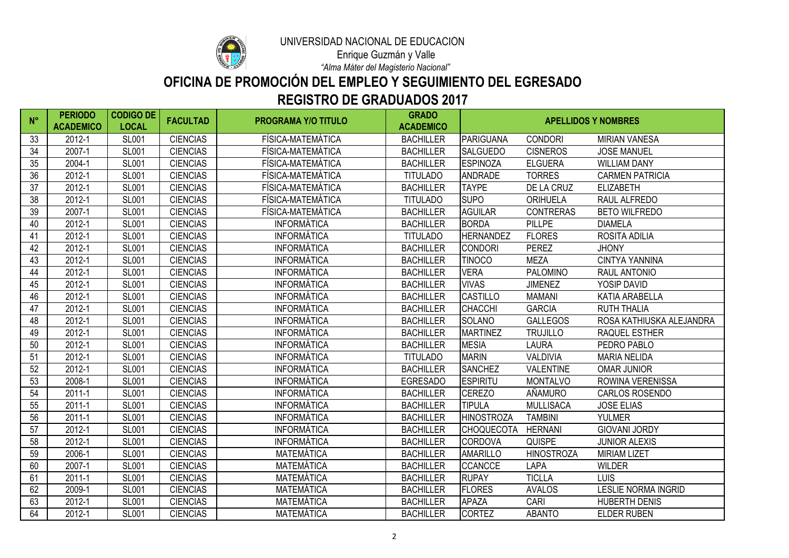

# **REGISTRO DE GRADUADOS 2017 OFICINA DE PROMOCIÓN DEL EMPLEO Y SEGUIMIENTO DEL EGRESADO**

*"Alma Máter del Magisterio Nacional"*

| $N^{\circ}$ | <b>PERIODO</b><br><b>ACADEMICO</b> | <b>CODIGO DE</b><br><b>LOCAL</b> | <b>FACULTAD</b> | <b>PROGRAMA Y/O TITULO</b> | <b>GRADO</b><br><b>ACADEMICO</b> | <b>APELLIDOS Y NOMBRES</b> |                   |                            |
|-------------|------------------------------------|----------------------------------|-----------------|----------------------------|----------------------------------|----------------------------|-------------------|----------------------------|
| 33          | 2012-1                             | <b>SL001</b>                     | <b>CIENCIAS</b> | FÍSICA-MATEMÁTICA          | <b>BACHILLER</b>                 | <b>PARIGUANA</b>           | <b>CONDORI</b>    | <b>MIRIAN VANESA</b>       |
| 34          | 2007-1                             | <b>SL001</b>                     | <b>CIENCIAS</b> | FÍSICA-MATEMÁTICA          | <b>BACHILLER</b>                 | <b>SALGUEDO</b>            | <b>CISNEROS</b>   | <b>JOSE MANUEL</b>         |
| 35          | 2004-1                             | <b>SL001</b>                     | <b>CIENCIAS</b> | FÍSICA-MATEMÁTICA          | <b>BACHILLER</b>                 | <b>ESPINOZA</b>            | <b>ELGUERA</b>    | <b>WILLIAM DANY</b>        |
| 36          | 2012-1                             | <b>SL001</b>                     | <b>CIENCIAS</b> | FÍSICA-MATEMÁTICA          | <b>TITULADO</b>                  | <b>ANDRADE</b>             | <b>TORRES</b>     | <b>CARMEN PATRICIA</b>     |
| 37          | 2012-1                             | <b>SL001</b>                     | <b>CIENCIAS</b> | FÍSICA-MATEMÁTICA          | <b>BACHILLER</b>                 | <b>TAYPE</b>               | DE LA CRUZ        | <b>ELIZABETH</b>           |
| 38          | 2012-1                             | <b>SL001</b>                     | <b>CIENCIAS</b> | FÍSICA-MATEMÁTICA          | <b>TITULADO</b>                  | <b>SUPO</b>                | <b>ORIHUELA</b>   | RAUL ALFREDO               |
| 39          | 2007-1                             | <b>SL001</b>                     | <b>CIENCIAS</b> | FÍSICA-MATEMÁTICA          | <b>BACHILLER</b>                 | <b>AGUILAR</b>             | <b>CONTRERAS</b>  | <b>BETO WILFREDO</b>       |
| 40          | 2012-1                             | <b>SL001</b>                     | <b>CIENCIAS</b> | <b>INFORMÁTICA</b>         | <b>BACHILLER</b>                 | <b>BORDA</b>               | <b>PILLPE</b>     | <b>DIAMELA</b>             |
| 41          | 2012-1                             | <b>SL001</b>                     | <b>CIENCIAS</b> | <b>INFORMÁTICA</b>         | <b>TITULADO</b>                  | <b>HERNANDEZ</b>           | <b>FLORES</b>     | ROSITA ADILIA              |
| 42          | 2012-1                             | <b>SL001</b>                     | <b>CIENCIAS</b> | <b>INFORMÁTICA</b>         | <b>BACHILLER</b>                 | <b>CONDORI</b>             | <b>PEREZ</b>      | <b>JHONY</b>               |
| 43          | 2012-1                             | <b>SL001</b>                     | <b>CIENCIAS</b> | <b>INFORMÁTICA</b>         | <b>BACHILLER</b>                 | <b>TINOCO</b>              | <b>MEZA</b>       | <b>CINTYA YANNINA</b>      |
| 44          | 2012-1                             | <b>SL001</b>                     | <b>CIENCIAS</b> | <b>INFORMÁTICA</b>         | <b>BACHILLER</b>                 | <b>VERA</b>                | <b>PALOMINO</b>   | <b>RAUL ANTONIO</b>        |
| 45          | 2012-1                             | <b>SL001</b>                     | <b>CIENCIAS</b> | <b>INFORMÁTICA</b>         | <b>BACHILLER</b>                 | <b>VIVAS</b>               | <b>JIMENEZ</b>    | YOSIP DAVID                |
| 46          | 2012-1                             | <b>SL001</b>                     | <b>CIENCIAS</b> | <b>INFORMÁTICA</b>         | <b>BACHILLER</b>                 | <b>CASTILLO</b>            | <b>MAMANI</b>     | <b>KATIA ARABELLA</b>      |
| 47          | 2012-1                             | <b>SL001</b>                     | <b>CIENCIAS</b> | INFORMÁTICA                | <b>BACHILLER</b>                 | <b>CHACCHI</b>             | <b>GARCIA</b>     | <b>RUTH THALIA</b>         |
| 48          | 2012-1                             | <b>SL001</b>                     | <b>CIENCIAS</b> | <b>INFORMÁTICA</b>         | <b>BACHILLER</b>                 | <b>SOLANO</b>              | <b>GALLEGOS</b>   | ROSA KATHIUSKA ALEJANDRA   |
| 49          | 2012-1                             | <b>SL001</b>                     | <b>CIENCIAS</b> | INFORMÁTICA                | <b>BACHILLER</b>                 | <b>MARTINEZ</b>            | <b>TRUJILLO</b>   | <b>RAQUEL ESTHER</b>       |
| 50          | 2012-1                             | <b>SL001</b>                     | <b>CIENCIAS</b> | INFORMÁTICA                | <b>BACHILLER</b>                 | <b>MESIA</b>               | <b>LAURA</b>      | PEDRO PABLO                |
| 51          | 2012-1                             | <b>SL001</b>                     | <b>CIENCIAS</b> | INFORMÁTICA                | <b>TITULADO</b>                  | <b>MARIN</b>               | <b>VALDIVIA</b>   | <b>MARIA NELIDA</b>        |
| 52          | 2012-1                             | <b>SL001</b>                     | <b>CIENCIAS</b> | <b>INFORMÁTICA</b>         | <b>BACHILLER</b>                 | <b>SANCHEZ</b>             | <b>VALENTINE</b>  | <b>OMAR JUNIOR</b>         |
| 53          | 2008-1                             | <b>SL001</b>                     | <b>CIENCIAS</b> | INFORMÁTICA                | <b>EGRESADO</b>                  | <b>ESPIRITU</b>            | <b>MONTALVO</b>   | ROWINA VERENISSA           |
| 54          | $2011 - 1$                         | <b>SL001</b>                     | <b>CIENCIAS</b> | INFORMÁTICA                | <b>BACHILLER</b>                 | <b>CEREZO</b>              | AÑAMURO           | <b>CARLOS ROSENDO</b>      |
| 55          | $2011 - 1$                         | <b>SL001</b>                     | <b>CIENCIAS</b> | INFORMÁTICA                | <b>BACHILLER</b>                 | <b>TIPULA</b>              | <b>MULLISACA</b>  | <b>JOSE ELIAS</b>          |
| 56          | $2011 - 1$                         | <b>SL001</b>                     | <b>CIENCIAS</b> | <b>INFORMÁTICA</b>         | <b>BACHILLER</b>                 | <b>HINOSTROZA</b>          | <b>TAMBINI</b>    | <b>YULMER</b>              |
| 57          | 2012-1                             | <b>SL001</b>                     | <b>CIENCIAS</b> | <b>INFORMÁTICA</b>         | <b>BACHILLER</b>                 | <b>CHOQUECOTA</b>          | <b>HERNANI</b>    | <b>GIOVANI JORDY</b>       |
| 58          | 2012-1                             | <b>SL001</b>                     | <b>CIENCIAS</b> | <b>INFORMÁTICA</b>         | <b>BACHILLER</b>                 | <b>CORDOVA</b>             | <b>QUISPE</b>     | <b>JUNIOR ALEXIS</b>       |
| 59          | 2006-1                             | <b>SL001</b>                     | <b>CIENCIAS</b> | <b>MATEMÁTICA</b>          | <b>BACHILLER</b>                 | <b>AMARILLO</b>            | <b>HINOSTROZA</b> | <b>MIRIAM LIZET</b>        |
| 60          | 2007-1                             | <b>SL001</b>                     | <b>CIENCIAS</b> | <b>MATEMÁTICA</b>          | <b>BACHILLER</b>                 | <b>CCANCCE</b>             | <b>LAPA</b>       | <b>WILDER</b>              |
| 61          | $2011 - 1$                         | <b>SL001</b>                     | <b>CIENCIAS</b> | <b>MATEMÁTICA</b>          | <b>BACHILLER</b>                 | <b>RUPAY</b>               | <b>TICLLA</b>     | <b>LUIS</b>                |
| 62          | 2009-1                             | <b>SL001</b>                     | <b>CIENCIAS</b> | <b>MATEMÁTICA</b>          | <b>BACHILLER</b>                 | <b>FLORES</b>              | <b>AVALOS</b>     | <b>LESLIE NORMA INGRID</b> |
| 63          | 2012-1                             | <b>SL001</b>                     | <b>CIENCIAS</b> | <b>MATEMÁTICA</b>          | <b>BACHILLER</b>                 | <b>APAZA</b>               | CARI              | <b>HUBERTH DENIS</b>       |
| 64          | 2012-1                             | <b>SL001</b>                     | <b>CIENCIAS</b> | <b>MATEMÁTICA</b>          | <b>BACHILLER</b>                 | <b>CORTEZ</b>              | <b>ABANTO</b>     | <b>ELDER RUBEN</b>         |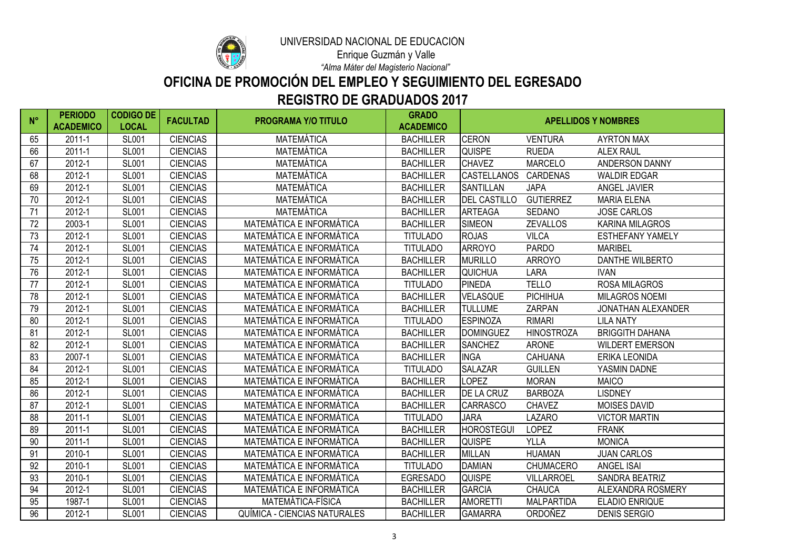

# **REGISTRO DE GRADUADOS 2017 OFICINA DE PROMOCIÓN DEL EMPLEO Y SEGUIMIENTO DEL EGRESADO**

*"Alma Máter del Magisterio Nacional"*

| $N^{\circ}$ | <b>PERIODO</b><br><b>ACADEMICO</b> | <b>CODIGO DE</b><br><b>LOCAL</b> | <b>FACULTAD</b> | <b>PROGRAMA Y/O TITULO</b>          | <b>GRADO</b><br><b>ACADEMICO</b> | <b>APELLIDOS Y NOMBRES</b> |                   |                           |
|-------------|------------------------------------|----------------------------------|-----------------|-------------------------------------|----------------------------------|----------------------------|-------------------|---------------------------|
| 65          | 2011-1                             | <b>SL001</b>                     | <b>CIENCIAS</b> | <b>MATEMÁTICA</b>                   | <b>BACHILLER</b>                 | <b>CERON</b>               | <b>VENTURA</b>    | <b>AYRTON MAX</b>         |
| 66          | 2011-1                             | <b>SL001</b>                     | <b>CIENCIAS</b> | <b>MATEMÁTICA</b>                   | <b>BACHILLER</b>                 | <b>QUISPE</b>              | <b>RUEDA</b>      | <b>ALEX RAUL</b>          |
| 67          | 2012-1                             | <b>SL001</b>                     | <b>CIENCIAS</b> | <b>MATEMÁTICA</b>                   | <b>BACHILLER</b>                 | <b>CHAVEZ</b>              | <b>MARCELO</b>    | <b>ANDERSON DANNY</b>     |
| 68          | 2012-1                             | <b>SL001</b>                     | <b>CIENCIAS</b> | <b>MATEMÁTICA</b>                   | <b>BACHILLER</b>                 | <b>CASTELLANOS</b>         | <b>CARDENAS</b>   | <b>WALDIR EDGAR</b>       |
| 69          | 2012-1                             | <b>SL001</b>                     | <b>CIENCIAS</b> | <b>MATEMÁTICA</b>                   | <b>BACHILLER</b>                 | <b>SANTILLAN</b>           | <b>JAPA</b>       | <b>ANGEL JAVIER</b>       |
| 70          | 2012-1                             | <b>SL001</b>                     | <b>CIENCIAS</b> | <b>MATEMÁTICA</b>                   | <b>BACHILLER</b>                 | <b>DEL CASTILLO</b>        | <b>GUTIERREZ</b>  | <b>MARIA ELENA</b>        |
| 71          | 2012-1                             | <b>SL001</b>                     | <b>CIENCIAS</b> | <b>MATEMÁTICA</b>                   | <b>BACHILLER</b>                 | <b>ARTEAGA</b>             | <b>SEDANO</b>     | <b>JOSE CARLOS</b>        |
| 72          | 2003-1                             | <b>SL001</b>                     | <b>CIENCIAS</b> | <b>MATEMÁTICA E INFORMÁTICA</b>     | <b>BACHILLER</b>                 | <b>SIMEON</b>              | <b>ZEVALLOS</b>   | <b>KARINA MILAGROS</b>    |
| 73          | 2012-1                             | <b>SL001</b>                     | <b>CIENCIAS</b> | <b>MATEMÁTICA E INFORMÁTICA</b>     | <b>TITULADO</b>                  | <b>ROJAS</b>               | <b>VILCA</b>      | <b>ESTHEFANY YAMELY</b>   |
| 74          | 2012-1                             | <b>SL001</b>                     | <b>CIENCIAS</b> | <b>MATEMÁTICA E INFORMÁTICA</b>     | <b>TITULADO</b>                  | <b>ARROYO</b>              | <b>PARDO</b>      | <b>MARIBEL</b>            |
| 75          | 2012-1                             | <b>SL001</b>                     | <b>CIENCIAS</b> | <b>MATEMÁTICA E INFORMÁTICA</b>     | <b>BACHILLER</b>                 | <b>MURILLO</b>             | <b>ARROYO</b>     | <b>DANTHE WILBERTO</b>    |
| 76          | 2012-1                             | <b>SL001</b>                     | <b>CIENCIAS</b> | <b>MATEMÁTICA E INFORMÁTICA</b>     | <b>BACHILLER</b>                 | <b>QUICHUA</b>             | <b>LARA</b>       | <b>IVAN</b>               |
| 77          | 2012-1                             | <b>SL001</b>                     | <b>CIENCIAS</b> | <b>MATEMÁTICA E INFORMÁTICA</b>     | <b>TITULADO</b>                  | <b>PINEDA</b>              | <b>TELLO</b>      | <b>ROSA MILAGROS</b>      |
| 78          | 2012-1                             | <b>SL001</b>                     | <b>CIENCIAS</b> | <b>MATEMÁTICA E INFORMÁTICA</b>     | <b>BACHILLER</b>                 | <b>VELASQUE</b>            | <b>PICHIHUA</b>   | <b>MILAGROS NOEMI</b>     |
| 79          | 2012-1                             | <b>SL001</b>                     | <b>CIENCIAS</b> | MATEMÁTICA E INFORMÁTICA            | <b>BACHILLER</b>                 | <b>TULLUME</b>             | <b>ZARPAN</b>     | <b>JONATHAN ALEXANDER</b> |
| 80          | 2012-1                             | <b>SL001</b>                     | <b>CIENCIAS</b> | <b>MATEMÁTICA E INFORMÁTICA</b>     | <b>TITULADO</b>                  | <b>ESPINOZA</b>            | <b>RIMARI</b>     | <b>LILA NATY</b>          |
| 81          | 2012-1                             | <b>SL001</b>                     | <b>CIENCIAS</b> | <b>MATEMÁTICA E INFORMÁTICA</b>     | <b>BACHILLER</b>                 | <b>DOMINGUEZ</b>           | <b>HINOSTROZA</b> | <b>BRIGGITH DAHANA</b>    |
| 82          | 2012-1                             | <b>SL001</b>                     | <b>CIENCIAS</b> | MATEMÁTICA E INFORMÁTICA            | <b>BACHILLER</b>                 | <b>SANCHEZ</b>             | <b>ARONE</b>      | <b>WILDERT EMERSON</b>    |
| 83          | 2007-1                             | <b>SL001</b>                     | <b>CIENCIAS</b> | <b>MATEMÁTICA E INFORMÁTICA</b>     | <b>BACHILLER</b>                 | <b>INGA</b>                | <b>CAHUANA</b>    | <b>ERIKA LEONIDA</b>      |
| 84          | 2012-1                             | <b>SL001</b>                     | <b>CIENCIAS</b> | <b>MATEMÁTICA E INFORMÁTICA</b>     | <b>TITULADO</b>                  | <b>SALAZAR</b>             | <b>GUILLEN</b>    | YASMIN DADNE              |
| 85          | 2012-1                             | <b>SL001</b>                     | <b>CIENCIAS</b> | <b>MATEMÁTICA E INFORMÁTICA</b>     | <b>BACHILLER</b>                 | LOPEZ                      | <b>MORAN</b>      | <b>MAICO</b>              |
| 86          | 2012-1                             | <b>SL001</b>                     | <b>CIENCIAS</b> | <b>MATEMÁTICA E INFORMÁTICA</b>     | <b>BACHILLER</b>                 | <b>DE LA CRUZ</b>          | <b>BARBOZA</b>    | <b>LISDNEY</b>            |
| 87          | 2012-1                             | <b>SL001</b>                     | <b>CIENCIAS</b> | MATEMÁTICA E INFORMÁTICA            | <b>BACHILLER</b>                 | <b>CARRASCO</b>            | <b>CHAVEZ</b>     | <b>MOISES DAVID</b>       |
| 88          | $2011 - 1$                         | <b>SL001</b>                     | <b>CIENCIAS</b> | MATEMÁTICA E INFORMÁTICA            | <b>TITULADO</b>                  | <b>JARA</b>                | <b>LAZARO</b>     | <b>VICTOR MARTIN</b>      |
| 89          | 2011-1                             | <b>SL001</b>                     | <b>CIENCIAS</b> | <b>MATEMÁTICA E INFORMÁTICA</b>     | <b>BACHILLER</b>                 | <b>HOROSTEGUI</b>          | <b>LOPEZ</b>      | <b>FRANK</b>              |
| 90          | 2011-1                             | <b>SL001</b>                     | <b>CIENCIAS</b> | <b>MATEMÁTICA E INFORMÁTICA</b>     | <b>BACHILLER</b>                 | <b>QUISPE</b>              | <b>YLLA</b>       | <b>MONICA</b>             |
| 91          | 2010-1                             | <b>SL001</b>                     | <b>CIENCIAS</b> | <b>MATEMÁTICA E INFORMÁTICA</b>     | <b>BACHILLER</b>                 | <b>MILLAN</b>              | <b>HUAMAN</b>     | <b>JUAN CARLOS</b>        |
| 92          | 2010-1                             | <b>SL001</b>                     | <b>CIENCIAS</b> | <b>MATEMÁTICA E INFORMÁTICA</b>     | <b>TITULADO</b>                  | <b>DAMIAN</b>              | <b>CHUMACERO</b>  | <b>ANGEL ISAI</b>         |
| 93          | 2010-1                             | <b>SL001</b>                     | <b>CIENCIAS</b> | <b>MATEMÁTICA E INFORMÁTICA</b>     | <b>EGRESADO</b>                  | <b>QUISPE</b>              | <b>VILLARROEL</b> | <b>SANDRA BEATRIZ</b>     |
| 94          | 2012-1                             | <b>SL001</b>                     | <b>CIENCIAS</b> | MATEMÁTICA E INFORMÁTICA            | <b>BACHILLER</b>                 | <b>GARCIA</b>              | <b>CHAUCA</b>     | <b>ALEXANDRA ROSMERY</b>  |
| 95          | 1987-1                             | <b>SL001</b>                     | <b>CIENCIAS</b> | MATEMÁTICA-FÍSICA                   | <b>BACHILLER</b>                 | <b>AMORETTI</b>            | <b>MALPARTIDA</b> | <b>ELADIO ENRIQUE</b>     |
| 96          | 2012-1                             | <b>SL001</b>                     | <b>CIENCIAS</b> | <b>QUÍMICA - CIENCIAS NATURALES</b> | <b>BACHILLER</b>                 | <b>GAMARRA</b>             | ORDOÑEZ           | <b>DENIS SERGIO</b>       |